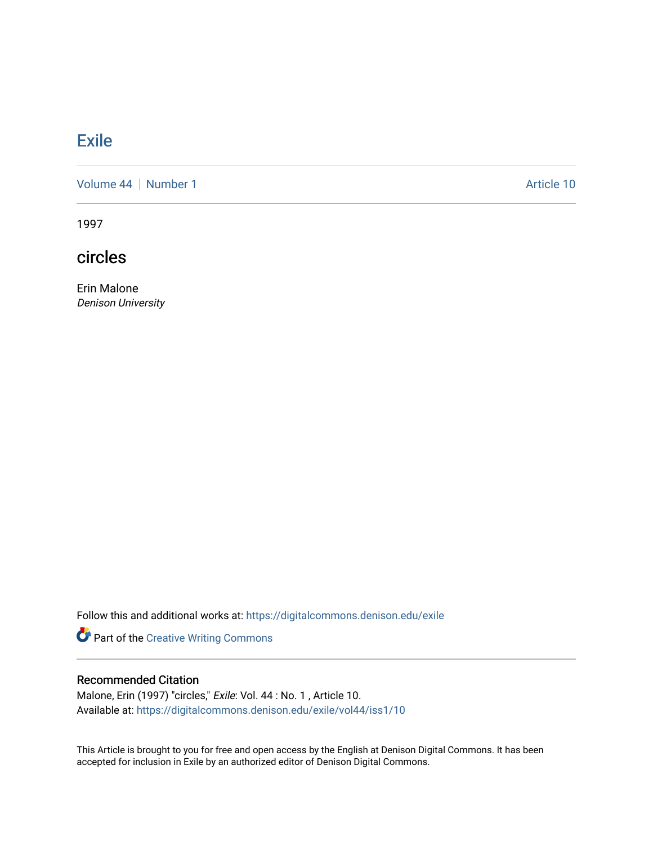# **[Exile](https://digitalcommons.denison.edu/exile)**

[Volume 44](https://digitalcommons.denison.edu/exile/vol44) | [Number 1](https://digitalcommons.denison.edu/exile/vol44/iss1) Article 10

1997

circles

Erin Malone Denison University

Follow this and additional works at: [https://digitalcommons.denison.edu/exile](https://digitalcommons.denison.edu/exile?utm_source=digitalcommons.denison.edu%2Fexile%2Fvol44%2Fiss1%2F10&utm_medium=PDF&utm_campaign=PDFCoverPages) 

Part of the [Creative Writing Commons](http://network.bepress.com/hgg/discipline/574?utm_source=digitalcommons.denison.edu%2Fexile%2Fvol44%2Fiss1%2F10&utm_medium=PDF&utm_campaign=PDFCoverPages) 

## Recommended Citation

Malone, Erin (1997) "circles," Exile: Vol. 44 : No. 1 , Article 10. Available at: [https://digitalcommons.denison.edu/exile/vol44/iss1/10](https://digitalcommons.denison.edu/exile/vol44/iss1/10?utm_source=digitalcommons.denison.edu%2Fexile%2Fvol44%2Fiss1%2F10&utm_medium=PDF&utm_campaign=PDFCoverPages)

This Article is brought to you for free and open access by the English at Denison Digital Commons. It has been accepted for inclusion in Exile by an authorized editor of Denison Digital Commons.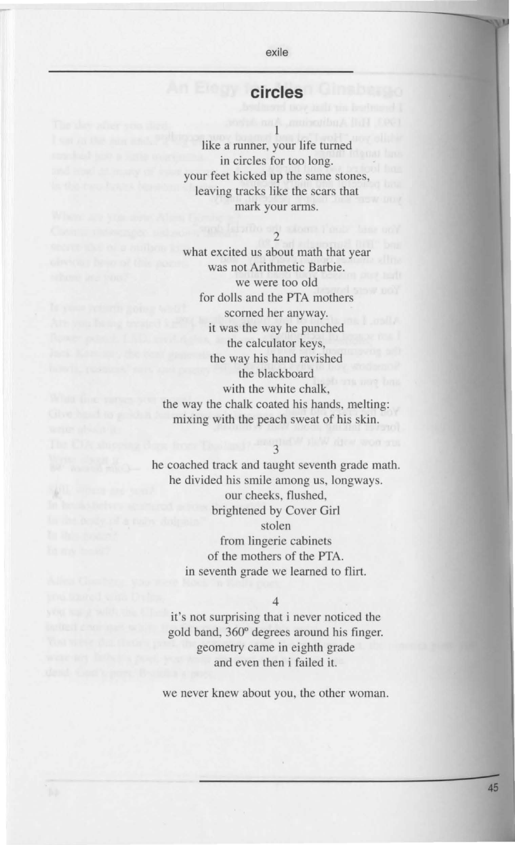#### exile

## **circles**

like a runner, your life turned in circles for too long. your feet kicked up the same stones, leaving tracks like the scars that mark your arms.

### 2

what excited us about math that year was not Arithmetic Barbie. we were too old for dolls and the PTA mothers scorned her anyway. it was the way he punched the calculator keys, the way his hand ravished the blackboard with the white chalk, the way the chalk coated his hands, melting: mixing with the peach sweat of his skin.

3

he coached track and taught seventh grade math. he divided his smile among us, longways. our cheeks, flushed, brightened by Cover Girl stolen from lingerie cabinets of the mothers of the PTA. in seventh grade we learned to flirt.

4

it's not surprising that i never noticed the gold band, 360° degrees around his finger. geometry came in eighth grade and even then i failed it.

we never knew about you, the other woman.